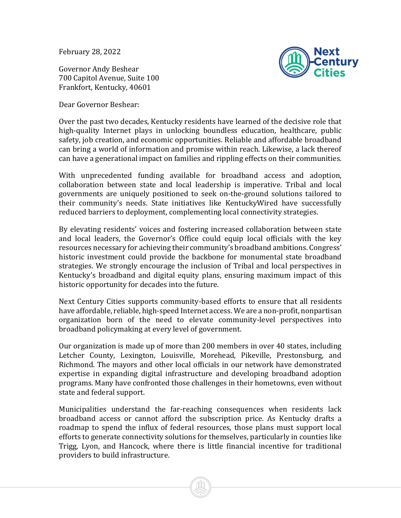February 28, 2022

Governor Andy Beshear 700 Capitol Avenue, Suite 100 Frankfort, Kentucky, 40601

Dear Governor Beshear:



Over the past two decades, Kentucky residents have learned of the decisive role that high-quality Internet plays in unlocking boundless education, healthcare, public safety, job creation, and economic opportunities. Reliable and affordable broadband can bring a world of information and promise within reach. Likewise, a lack thereof can have a generational impact on families and rippling effects on their communities.

With unprecedented funding available for broadband access and adoption, collaboration between state and local leadership is imperative. Tribal and local governments are uniquely positioned to seek on-the-ground solutions tailored to their community's needs. State initiatives like KentuckyWired have successfully reduced barriers to deployment, complementing local connectivity strategies.

By elevating residents' voices and fostering increased collaboration between state and local leaders, the Governor's Office could equip local officials with the key resources necessary for achieving their community's broadband ambitions. Congress' historic investment could provide the backbone for monumental state broadband strategies. We strongly encourage the inclusion of Tribal and local perspectives in Kentucky's broadband and digital equity plans, ensuring maximum impact of this historic opportunity for decades into the future.

Next Century Cities supports community-based efforts to ensure that all residents have affordable, reliable, high-speed Internet access. We are a non-profit, nonpartisan organization born of the need to elevate community-level perspectives into broadband policymaking at every level of government.

Our organization is made up of more than 200 members in over 40 states, including Letcher County, Lexington, Louisville, Morehead, Pikeville, Prestonsburg, and Richmond. The mayors and other local officials in our network have demonstrated expertise in expanding digital infrastructure and developing broadband adoption programs. Many have confronted those challenges in their hometowns, even without state and federal support.

Municipalities understand the far-reaching consequences when residents lack broadband access or cannot afford the subscription price. As Kentucky drafts a roadmap to spend the influx of federal resources, those plans must support local efforts to generate connectivity solutions for themselves, particularly in counties like Trigg, Lyon, and Hancock, where there is little financial incentive for traditional providers to build infrastructure.